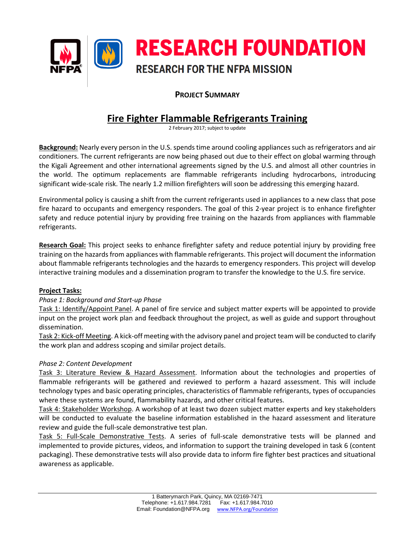

## **PROJECT SUMMARY**

# **Fire Fighter Flammable Refrigerants Training**

2 February 2017; subject to update

**Background:** Nearly every person in the U.S. spends time around cooling appliances such as refrigerators and air conditioners. The current refrigerants are now being phased out due to their effect on global warming through the Kigali Agreement and other international agreements signed by the U.S. and almost all other countries in the world. The optimum replacements are flammable refrigerants including hydrocarbons, introducing significant wide-scale risk. The nearly 1.2 million firefighters will soon be addressing this emerging hazard.

Environmental policy is causing a shift from the current refrigerants used in appliances to a new class that pose fire hazard to occupants and emergency responders. The goal of this 2-year project is to enhance firefighter safety and reduce potential injury by providing free training on the hazards from appliances with flammable refrigerants.

**Research Goal:** This project seeks to enhance firefighter safety and reduce potential injury by providing free training on the hazards from appliances with flammable refrigerants. This project will document the information about flammable refrigerants technologies and the hazards to emergency responders. This project will develop interactive training modules and a dissemination program to transfer the knowledge to the U.S. fire service.

### **Project Tasks:**

### *Phase 1: Background and Start-up Phase*

Task 1: Identify/Appoint Panel. A panel of fire service and subject matter experts will be appointed to provide input on the project work plan and feedback throughout the project, as well as guide and support throughout dissemination.

Task 2: Kick-off Meeting. A kick-off meeting with the advisory panel and project team will be conducted to clarify the work plan and address scoping and similar project details.

### *Phase 2: Content Development*

Task 3: Literature Review & Hazard Assessment. Information about the technologies and properties of flammable refrigerants will be gathered and reviewed to perform a hazard assessment. This will include technology types and basic operating principles, characteristics of flammable refrigerants, types of occupancies where these systems are found, flammability hazards, and other critical features.

Task 4: Stakeholder Workshop. A workshop of at least two dozen subject matter experts and key stakeholders will be conducted to evaluate the baseline information established in the hazard assessment and literature review and guide the full-scale demonstrative test plan.

Task 5: Full-Scale Demonstrative Tests. A series of full-scale demonstrative tests will be planned and implemented to provide pictures, videos, and information to support the training developed in task 6 (content packaging). These demonstrative tests will also provide data to inform fire fighter best practices and situational awareness as applicable.